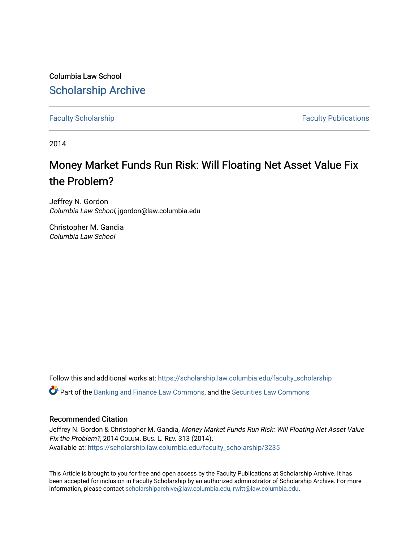Columbia Law School [Scholarship Archive](https://scholarship.law.columbia.edu/) 

[Faculty Scholarship](https://scholarship.law.columbia.edu/faculty_scholarship) **Faculty Scholarship Faculty Publications** 

2014

# Money Market Funds Run Risk: Will Floating Net Asset Value Fix the Problem?

Jeffrey N. Gordon Columbia Law School, jgordon@law.columbia.edu

Christopher M. Gandia Columbia Law School

Follow this and additional works at: [https://scholarship.law.columbia.edu/faculty\\_scholarship](https://scholarship.law.columbia.edu/faculty_scholarship?utm_source=scholarship.law.columbia.edu%2Ffaculty_scholarship%2F3235&utm_medium=PDF&utm_campaign=PDFCoverPages)

Part of the [Banking and Finance Law Commons,](http://network.bepress.com/hgg/discipline/833?utm_source=scholarship.law.columbia.edu%2Ffaculty_scholarship%2F3235&utm_medium=PDF&utm_campaign=PDFCoverPages) and the [Securities Law Commons](http://network.bepress.com/hgg/discipline/619?utm_source=scholarship.law.columbia.edu%2Ffaculty_scholarship%2F3235&utm_medium=PDF&utm_campaign=PDFCoverPages)

### Recommended Citation

Jeffrey N. Gordon & Christopher M. Gandia, Money Market Funds Run Risk: Will Floating Net Asset Value Fix the Problem?, 2014 COLUM. BUS. L. REV. 313 (2014). Available at: [https://scholarship.law.columbia.edu/faculty\\_scholarship/3235](https://scholarship.law.columbia.edu/faculty_scholarship/3235?utm_source=scholarship.law.columbia.edu%2Ffaculty_scholarship%2F3235&utm_medium=PDF&utm_campaign=PDFCoverPages)

This Article is brought to you for free and open access by the Faculty Publications at Scholarship Archive. It has been accepted for inclusion in Faculty Scholarship by an authorized administrator of Scholarship Archive. For more information, please contact [scholarshiparchive@law.columbia.edu, rwitt@law.columbia.edu](mailto:scholarshiparchive@law.columbia.edu,%20rwitt@law.columbia.edu).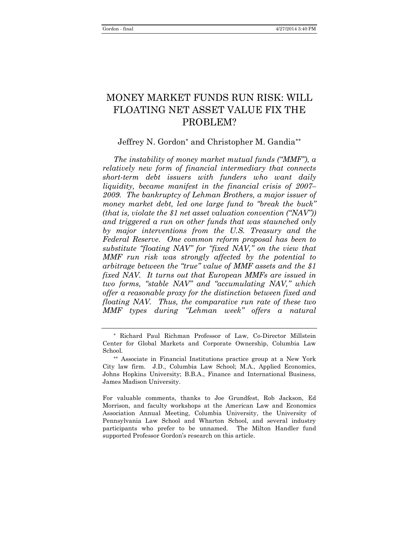## MONEY MARKET FUNDS RUN RISK: WILL FLOATING NET ASSET VALUE FIX THE PROBLEM?

### Jeffrey N. Gordon\* and Christopher M. Gandia\*\*

*The instability of money market mutual funds ("MMF"), a relatively new form of financial intermediary that connects short-term debt issuers with funders who want daily liquidity, became manifest in the financial crisis of 2007– 2009. The bankruptcy of Lehman Brothers, a major issuer of money market debt, led one large fund to "break the buck" (that is, violate the \$1 net asset valuation convention ("NAV")) and triggered a run on other funds that was staunched only by major interventions from the U.S. Treasury and the Federal Reserve. One common reform proposal has been to substitute "floating NAV" for "fixed NAV," on the view that MMF run risk was strongly affected by the potential to arbitrage between the "true" value of MMF assets and the \$1 fixed NAV. It turns out that European MMFs are issued in two forms, "stable NAV" and "accumulating NAV," which offer a reasonable proxy for the distinction between fixed and floating NAV. Thus, the comparative run rate of these two MMF types during "Lehman week" offers a natural* 

<sup>\*</sup> Richard Paul Richman Professor of Law, Co-Director Millstein Center for Global Markets and Corporate Ownership, Columbia Law School.

<sup>\*\*</sup> Associate in Financial Institutions practice group at a New York City law firm. J.D., Columbia Law School; M.A., Applied Economics, Johns Hopkins University; B.B.A., Finance and International Business, James Madison University.

For valuable comments, thanks to Joe Grundfest, Rob Jackson, Ed Morrison, and faculty workshops at the American Law and Economics Association Annual Meeting, Columbia University, the University of Pennsylvania Law School and Wharton School, and several industry participants who prefer to be unnamed. The Milton Handler fund supported Professor Gordon's research on this article.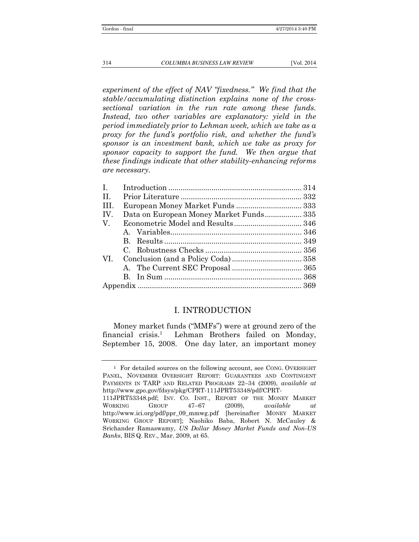*experiment of the effect of NAV "fixedness." We find that the stable/accumulating distinction explains none of the crosssectional variation in the run rate among these funds. Instead, two other variables are explanatory: yield in the period immediately prior to Lehman week, which we take as a proxy for the fund's portfolio risk, and whether the fund's sponsor is an investment bank, which we take as proxy for sponsor capacity to support the fund. We then argue that these findings indicate that other stability-enhancing reforms are necessary.*

| П.   |                                         |  |
|------|-----------------------------------------|--|
| III. |                                         |  |
| IV.  | Data on European Money Market Funds 335 |  |
| V.   |                                         |  |
|      |                                         |  |
|      |                                         |  |
|      |                                         |  |
| VI.  |                                         |  |
|      |                                         |  |
|      |                                         |  |
|      |                                         |  |
|      |                                         |  |

### I. INTRODUCTION

Money market funds ("MMFs") were at ground zero of the financial crisis.<sup>1</sup> Lehman Brothers failed on Monday, September 15, 2008. One day later, an important money

<sup>1</sup> For detailed sources on the following account, see CONG. OVERSIGHT PANEL, NOVEMBER OVERSIGHT REPORT: GUARANTEES AND CONTINGENT PAYMENTS IN TARP AND RELATED PROGRAMS 22–34 (2009), *available at* http://www.gpo.gov/fdsys/pkg/CPRT-111JPRT53348/pdf/CPRT-111JPRT53348.pdf; INV. CO. INST., REPORT OF THE MONEY MARKET WORKING GROUP 47–67 (2009), *available at*  http://www.ici.org/pdf/ppr\_09\_mmwg.pdf [hereinafter MONEY MARKET WORKING GROUP REPORT]; Naohiko Baba, Robert N. McCauley & Srichander Ramaswamy, *US Dollar Money Market Funds and Non-US Banks*, BIS Q. REV., Mar. 2009, at 65.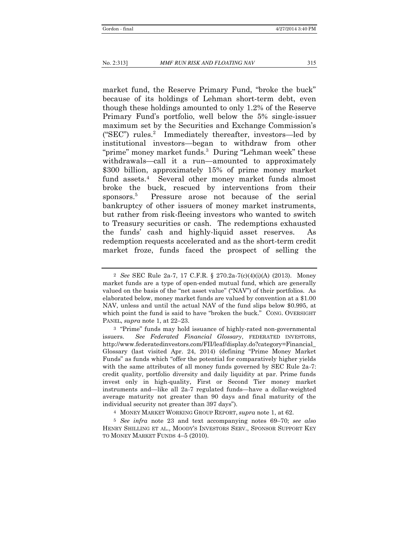market fund, the Reserve Primary Fund, "broke the buck" because of its holdings of Lehman short-term debt, even though these holdings amounted to only 1.2% of the Reserve Primary Fund's portfolio, well below the 5% single-issuer maximum set by the Securities and Exchange Commission's ("SEC") rules.<sup>2</sup> Immediately thereafter, investors—led by institutional investors—began to withdraw from other "prime" money market funds.<sup>3</sup> During "Lehman week" these withdrawals—call it a run—amounted to approximately \$300 billion, approximately 15% of prime money market fund assets.4 Several other money market funds almost broke the buck, rescued by interventions from their sponsors. 5 Pressure arose not because of the serial bankruptcy of other issuers of money market instruments, but rather from risk-fleeing investors who wanted to switch to Treasury securities or cash. The redemptions exhausted the funds' cash and highly-liquid asset reserves. As redemption requests accelerated and as the short-term credit market froze, funds faced the prospect of selling the

<sup>2</sup> *See* SEC Rule 2a-7, 17 C.F.R. § 270.2a-7(c)(4)(i)(A) (2013). Money market funds are a type of open-ended mutual fund, which are generally valued on the basis of the "net asset value" ("NAV") of their portfolios. As elaborated below, money market funds are valued by convention at a \$1.00 NAV, unless and until the actual NAV of the fund slips below \$0.995, at which point the fund is said to have "broken the buck." CONG. OVERSIGHT PANEL, *supra* note 1, at 22–23.

<sup>3</sup> "Prime" funds may hold issuance of highly-rated non-governmental issuers. *See Federated Financial Glossary*, FEDERATED INVESTORS, http://www.federatedinvestors.com/FII/leaf/display.do?category=Financial\_ Glossary (last visited Apr. 24, 2014) (defining "Prime Money Market Funds" as funds which "offer the potential for comparatively higher yields with the same attributes of all money funds governed by SEC Rule  $2a-7$ : credit quality, portfolio diversity and daily liquidity at par. Prime funds invest only in high-quality, First or Second Tier money market instruments and—like all 2a-7 regulated funds—have a dollar-weighted average maturity not greater than 90 days and final maturity of the individual security not greater than 397 days").

<sup>4</sup> MONEY MARKET WORKING GROUP REPORT, *supra* note 1, at 62.

<sup>5</sup> *See infra* note 23 and text accompanying notes 69–70; *see also*  HENRY SHILLING ET AL., MOODY'S INVESTORS SERV., SPONSOR SUPPORT KEY TO MONEY MARKET FUNDS 4–5 (2010).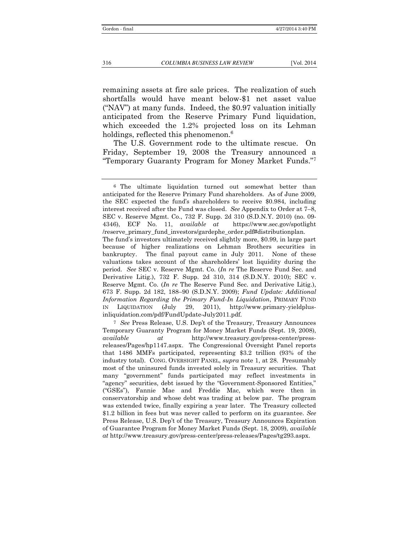remaining assets at fire sale prices. The realization of such shortfalls would have meant below-\$1 net asset value ("NAV") at many funds. Indeed, the \$0.97 valuation initially anticipated from the Reserve Primary Fund liquidation, which exceeded the 1.2% projected loss on its Lehman holdings, reflected this phenomenon.<sup>6</sup>

The U.S. Government rode to the ultimate rescue. On Friday, September 19, 2008 the Treasury announced a "Temporary Guaranty Program for Money Market Funds."<sup>7</sup>

<sup>6</sup> The ultimate liquidation turned out somewhat better than anticipated for the Reserve Primary Fund shareholders. As of June 2009, the SEC expected the fund's shareholders to receive \$0.984, including interest received after the Fund was closed. *See* Appendix to Order at 7–8, SEC v. Reserve Mgmt. Co., 732 F. Supp. 2d 310 (S.D.N.Y. 2010) (no. 09- 4346), ECF No. 11, *available at* https://www.sec.gov/spotlight /reserve\_primary\_fund\_investors/gardephe\_order.pdf#distributionplan. The fund's investors ultimately received slightly more, \$0.99, in large part because of higher realizations on Lehman Brothers securities in bankruptcy. The final payout came in July 2011. None of these valuations takes account of the shareholders' lost liquidity during the period. *See* SEC v. Reserve Mgmt. Co. (*In re* The Reserve Fund Sec. and Derivative Litig.), 732 F. Supp. 2d 310, 314 (S.D.N.Y. 2010); SEC v. Reserve Mgmt. Co. (*In re* The Reserve Fund Sec. and Derivative Litig.), 673 F. Supp. 2d 182, 188–90 (S.D.N.Y. 2009); *Fund Update: Additional Information Regarding the Primary Fund-In Liquidation*, PRIMARY FUND IN LIQUIDATION (July 29, 2011), http://www.primary-yieldplusinliquidation.com/pdf/FundUpdate-July2011.pdf.

<sup>7</sup> *See* Press Release, U.S. Dep't of the Treasury, Treasury Announces Temporary Guaranty Program for Money Market Funds (Sept. 19, 2008), *available at* http://www.treasury.gov/press-center/pressreleases/Pages/hp1147.aspx. The Congressional Oversight Panel reports that 1486 MMFs participated, representing \$3.2 trillion (93% of the industry total). CONG. OVERSIGHT PANEL, *supra* note 1, at 28. Presumably most of the uninsured funds invested solely in Treasury securities. That many "government" funds participated may reflect investments in "agency" securities, debt issued by the "Government-Sponsored Entities," ("GSEs"), Fannie Mae and Freddie Mac, which were then in conservatorship and whose debt was trading at below par. The program was extended twice, finally expiring a year later. The Treasury collected \$1.2 billion in fees but was never called to perform on its guarantee. *See* Press Release, U.S. Dep't of the Treasury, Treasury Announces Expiration of Guarantee Program for Money Market Funds (Sept. 18, 2009), *available at* http://www.treasury.gov/press-center/press-releases/Pages/tg293.aspx.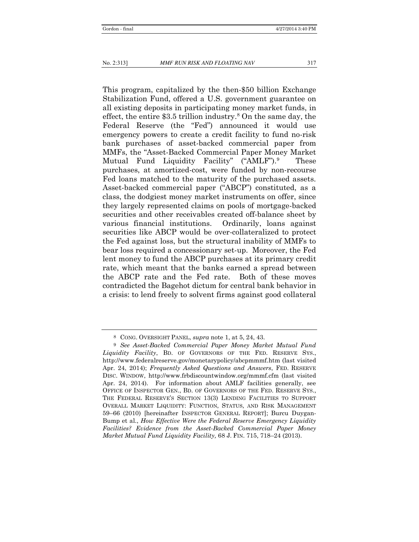This program, capitalized by the then-\$50 billion Exchange Stabilization Fund, offered a U.S. government guarantee on all existing deposits in participating money market funds, in effect, the entire  $$3.5$  trillion industry.<sup>8</sup> On the same day, the Federal Reserve (the "Fed") announced it would use emergency powers to create a credit facility to fund no-risk bank purchases of asset-backed commercial paper from MMFs, the "Asset-Backed Commercial Paper Money Market Mutual Fund Liquidity Facility" ("AMLF").<sup>9</sup> These purchases, at amortized-cost, were funded by non-recourse Fed loans matched to the maturity of the purchased assets. Asset-backed commercial paper ("ABCP") constituted, as a class, the dodgiest money market instruments on offer, since they largely represented claims on pools of mortgage-backed securities and other receivables created off-balance sheet by various financial institutions. Ordinarily, loans against securities like ABCP would be over-collateralized to protect the Fed against loss, but the structural inability of MMFs to bear loss required a concessionary set-up. Moreover, the Fed lent money to fund the ABCP purchases at its primary credit rate, which meant that the banks earned a spread between the ABCP rate and the Fed rate. Both of these moves contradicted the Bagehot dictum for central bank behavior in a crisis: to lend freely to solvent firms against good collateral

<sup>8</sup> CONG. OVERSIGHT PANEL, *supra* note 1, at 5, 24, 43.

<sup>9</sup> *See Asset-Backed Commercial Paper Money Market Mutual Fund Liquidity Facility*, BD. OF GOVERNORS OF THE FED. RESERVE SYS., http://www.federalreserve.gov/monetarypolicy/abcpmmmf.htm (last visited Apr. 24, 2014); *Frequently Asked Questions and Answers*, FED. RESERVE DISC. WINDOW, http://www.frbdiscountwindow.org/mmmf.cfm (last visited Apr. 24, 2014). For information about AMLF facilities generally, see OFFICE OF INSPECTOR GEN., BD. OF GOVERNORS OF THE FED. RESERVE SYS., THE FEDERAL RESERVE'S SECTION 13(3) LENDING FACILITIES TO SUPPORT OVERALL MARKET LIQUIDITY: FUNCTION, STATUS, AND RISK MANAGEMENT 59–66 (2010) [hereinafter INSPECTOR GENERAL REPORT]; Burcu Duygan-Bump et al., *How Effective Were the Federal Reserve Emergency Liquidity Facilities? Evidence from the Asset-Backed Commercial Paper Money Market Mutual Fund Liquidity Facility,* 68 J. FIN. 715, 718–24 (2013).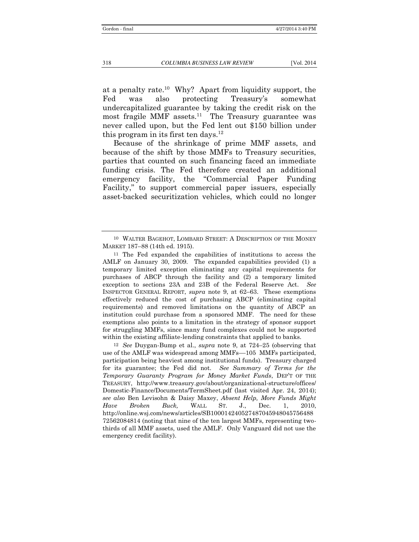at a penalty rate. 10 Why? Apart from liquidity support, the Fed was also protecting Treasury's somewhat undercapitalized guarantee by taking the credit risk on the most fragile MMF assets.<sup>11</sup> The Treasury guarantee was never called upon, but the Fed lent out \$150 billion under this program in its first ten days.<sup>12</sup>

Because of the shrinkage of prime MMF assets, and because of the shift by those MMFs to Treasury securities, parties that counted on such financing faced an immediate funding crisis. The Fed therefore created an additional emergency facility, the "Commercial Paper Funding Facility," to support commercial paper issuers, especially asset-backed securitization vehicles, which could no longer

12 *See* Duygan-Bump et al., *supra* note 9, at 724–25 (observing that use of the AMLF was widespread among MMFs––105 MMFs participated, participation being heaviest among institutional funds). Treasury charged for its guarantee; the Fed did not. *See Summary of Terms for the Temporary Guaranty Program for Money Market Funds*, DEP'T OF THE TREASURY, http://www.treasury.gov/about/organizational-structure/offices/ Domestic-Finance/Documents/TermSheet.pdf (last visited Apr. 24, 2014); *see also* Ben Levisohn & Daisy Maxey, *Absent Help, More Funds Might Have Broken Buck,* WALL ST. J., Dec. 1, 2010, http://online.wsj.com/news/articles/SB100014240527487045948045756488 72562084814 (noting that nine of the ten largest MMFs, representing twothirds of all MMF assets, used the AMLF. Only Vanguard did not use the emergency credit facility).

<sup>10</sup> WALTER BAGEHOT, LOMBARD STREET: A DESCRIPTION OF THE MONEY MARKET 187–88 (14th ed. 1915).

<sup>11</sup> The Fed expanded the capabilities of institutions to access the AMLF on January 30, 2009. The expanded capabilities provided (1) a temporary limited exception eliminating any capital requirements for purchases of ABCP through the facility and (2) a temporary limited exception to sections 23A and 23B of the Federal Reserve Act. *See*  INSPECTOR GENERAL REPORT, *supra* note 9, at 62–63. These exemptions effectively reduced the cost of purchasing ABCP (eliminating capital requirements) and removed limitations on the quantity of ABCP an institution could purchase from a sponsored MMF. The need for these exemptions also points to a limitation in the strategy of sponsor support for struggling MMFs, since many fund complexes could not be supported within the existing affiliate-lending constraints that applied to banks.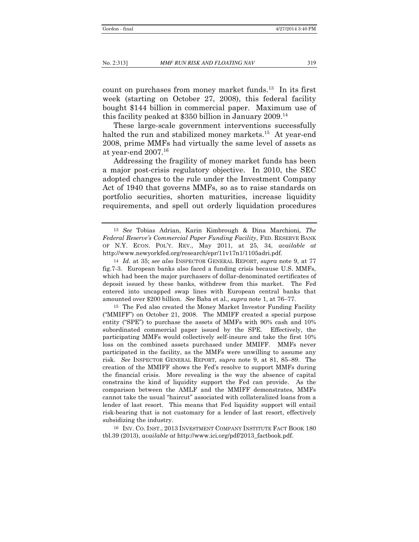count on purchases from money market funds.13 In its first week (starting on October 27, 2008), this federal facility bought \$144 billion in commercial paper. Maximum use of this facility peaked at \$350 billion in January 2009.14

These large-scale government interventions successfully halted the run and stabilized money markets.<sup>15</sup> At year-end 2008, prime MMFs had virtually the same level of assets as at year-end  $2007.<sup>16</sup>$ 

Addressing the fragility of money market funds has been a major post-crisis regulatory objective. In 2010, the SEC adopted changes to the rule under the Investment Company Act of 1940 that governs MMFs, so as to raise standards on portfolio securities, shorten maturities, increase liquidity requirements, and spell out orderly liquidation procedures

<sup>13</sup> *See* Tobias Adrian, Karin Kimbrough & Dina Marchioni, *The Federal Reserve's Commercial Paper Funding Facility*, FED. RESERVE BANK OF N.Y. ECON. POL'Y. REV., May 2011, at 25, 34, *available at*  http://www.newyorkfed.org/research/epr/11v17n1/1105adri.pdf.

<sup>14</sup> *Id.* at 35; *see also* INSPECTOR GENERAL REPORT, *supra* note 9, at 77 fig.7-3. European banks also faced a funding crisis because U.S. MMFs, which had been the major purchasers of dollar-denominated certificates of deposit issued by these banks, withdrew from this market. The Fed entered into uncapped swap lines with European central banks that amounted over \$200 billion. *See* Baba et al., *supra* note 1, at 76–77.

<sup>15</sup> The Fed also created the Money Market Investor Funding Facility ("MMIFF") on October 21, 2008. The MMIFF created a special purpose entity ("SPE") to purchase the assets of MMFs with 90% cash and 10% subordinated commercial paper issued by the SPE. Effectively, the participating MMFs would collectively self-insure and take the first 10% loss on the combined assets purchased under MMIFF. MMFs never participated in the facility, as the MMFs were unwilling to assume any risk. *See* INSPECTOR GENERAL REPORT, *supra* note 9, at 81, 85–89. The creation of the MMIFF shows the Fed's resolve to support MMFs during the financial crisis. More revealing is the way the absence of capital constrains the kind of liquidity support the Fed can provide. As the comparison between the AMLF and the MMIFF demonstrates, MMFs cannot take the usual "haircut" associated with collateralized loans from a lender of last resort. This means that Fed liquidity support will entail risk-bearing that is not customary for a lender of last resort, effectively subsidizing the industry.

<sup>16</sup> INV. CO. INST., 2013 INVESTMENT COMPANY INSTITUTE FACT BOOK 180 tbl.39 (2013), *available at* http://www.ici.org/pdf/2013\_factbook.pdf.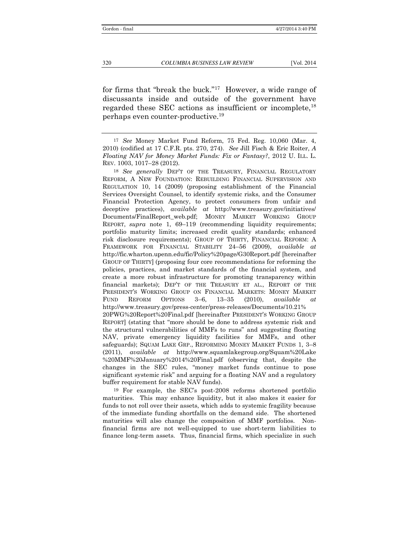for firms that "break the buck."17 However, a wide range of discussants inside and outside of the government have regarded these SEC actions as insufficient or incomplete,<sup>18</sup> perhaps even counter-productive.19

18 *See generally* DEP'T OF THE TREASURY, FINANCIAL REGULATORY REFORM, A NEW FOUNDATION: REBUILDING FINANCIAL SUPERVISION AND REGULATION 10, 14 (2009) (proposing establishment of the Financial Services Oversight Counsel, to identify systemic risks, and the Consumer Financial Protection Agency, to protect consumers from unfair and deceptive practices), *available at* http://www.treasury.gov/initiatives/ Documents/FinalReport\_web.pdf; MONEY MARKET WORKING GROUP REPORT, *supra* note 1, 69–119 (recommending liquidity requirements; portfolio maturity limits; increased credit quality standards; enhanced risk disclosure requirements); GROUP OF THIRTY, FINANCIAL REFORM: A FRAMEWORK FOR FINANCIAL STABILITY 24–56 (2009), *available at* http://fic.wharton.upenn.edu/fic/Policy%20page/G30Report.pdf [hereinafter GROUP OF THIRTY] (proposing four core recommendations for reforming the policies, practices, and market standards of the financial system, and create a more robust infrastructure for promoting transparency within financial markets); DEP'T OF THE TREASURY ET AL., REPORT OF THE PRESIDENT'S WORKING GROUP ON FINANCIAL MARKETS: MONEY MARKET FUND REFORM OPTIONS 3–6, 13–35 (2010), *available* http://www.treasury.gov/press-center/press-releases/Documents/10.21% 20PWG%20Report%20Final.pdf [hereinafter PRESIDENT'S WORKING GROUP REPORT] (stating that "more should be done to address systemic risk and the structural vulnerabilities of MMFs to runs" and suggesting floating NAV, private emergency liquidity facilities for MMFs, and other safeguards); SQUAM LAKE GRP., REFORMING MONEY MARKET FUNDS 1, 3–8 (2011), *available at* http://www.squamlakegroup.org/Squam%20Lake %20MMF%20January%2014%20Final.pdf (observing that, despite the changes in the SEC rules, "money market funds continue to pose significant systemic risk" and arguing for a floating NAV and a regulatory buffer requirement for stable NAV funds).

19 For example, the SEC's post-2008 reforms shortened portfolio maturities. This may enhance liquidity, but it also makes it easier for funds to not roll over their assets, which adds to systemic fragility because of the immediate funding shortfalls on the demand side. The shortened maturities will also change the composition of MMF portfolios. Nonfinancial firms are not well-equipped to use short-term liabilities to finance long-term assets. Thus, financial firms, which specialize in such

<sup>17</sup> *See* Money Market Fund Reform, 75 Fed. Reg. 10,060 (Mar. 4, 2010) (codified at 17 C.F.R. pts. 270, 274). *See* Jill Fisch & Eric Roiter, *A Floating NAV for Money Market Funds: Fix or Fantasy?*, 2012 U. ILL. L. REV. 1003, 1017–28 (2012).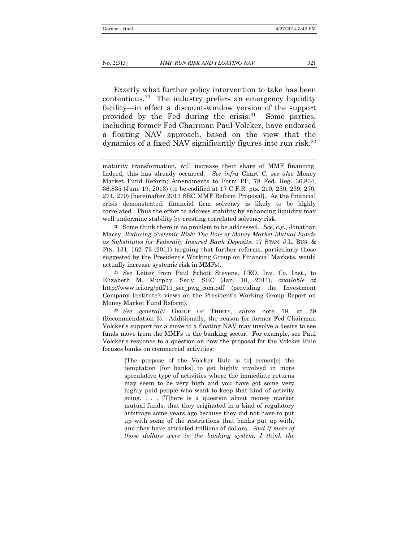Exactly what further policy intervention to take has been contentious.20 The industry prefers an emergency liquidity facility—in effect a discount-window version of the support provided by the Fed during the crisis. $21$  Some parties, including former Fed Chairman Paul Volcker, have endorsed a floating NAV approach, based on the view that the dynamics of a fixed NAV significantly figures into run risk.<sup>22</sup>

20 Some think there is no problem to be addressed. *See, e.g.*, Jonathan Macey, *Reducing Systemic Risk: The Role of Money Market Mutual Funds as Substitutes for Federally Insured Bank Deposits*, 17 STAN. J.L. BUS. & FIN. 131, 162–73 (2011) (arguing that further reforms, particularly those suggested by the President's Working Group on Financial Markets, would actually increase systemic risk in MMFs).

21 *See* Letter from Paul Schott Stevens, CEO, Inv. Co. Inst., to Elizabeth M. Murphy, Sec'y, SEC (Jan. 10, 2011), *available at* http://www.ici.org/pdf/11\_sec\_pwg\_com.pdf (providing the Investment Company Institute's views on the President's Working Group Report on Money Market Fund Reform).

22 *See generally* GROUP OF THIRTY, *supra* note 18, at 29 (Recommendation 3). Additionally, the reason for former Fed Chairman Volcker's support for a move to a floating NAV may involve a desire to see funds move from the MMFs to the banking sector. For example, see Paul Volcker's response to a question on how the proposal for the Volcker Rule focuses banks on commercial activities:

> [The purpose of the Volcker Rule is to] remov[e] the temptation [for banks] to get highly involved in more speculative type of activities where the immediate returns may seem to be very high and you have got some very highly paid people who want to keep that kind of activity going. . . . [T]here is a question about money market mutual funds, that they originated in a kind of regulatory arbitrage some years ago because they did not have to put up with some of the restrictions that banks put up with, and they have attracted trillions of dollars. *And if more of those dollars were in the banking system, I think the*

maturity transformation, will increase their share of MMF financing. Indeed, this has already occurred. *See infra* Chart C; *see also* Money Market Fund Reform; Amendments to Form PF, 78 Fed. Reg. 36,834, 36,835 (June 19, 2013) (to be codified at 17 C.F.R. pts. 210, 230, 239, 270, 274, 279) [hereinafter 2013 SEC MMF Reform Proposal]. As the financial crisis demonstrated, financial firm solvency is likely to be highly correlated. Thus the effort to address stability by enhancing liquidity may well undermine stability by creating correlated solvency risk.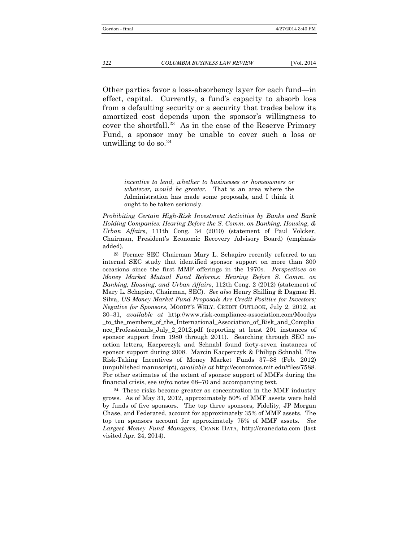Other parties favor a loss-absorbency layer for each fund—in effect, capital. Currently, a fund's capacity to absorb loss from a defaulting security or a security that trades below its amortized cost depends upon the sponsor's willingness to cover the shortfall.<sup>23</sup> As in the case of the Reserve Primary Fund, a sponsor may be unable to cover such a loss or unwilling to do so. $24$ 

> *incentive to lend, whether to businesses or homeowners or whatever, would be greater.* That is an area where the Administration has made some proposals, and I think it ought to be taken seriously.

*Prohibiting Certain High-Risk Investment Activities by Banks and Bank Holding Companies: Hearing Before the S. Comm. on Banking, Housing, & Urban Affairs*, 111th Cong. 34 (2010) (statement of Paul Volcker, Chairman, President's Economic Recovery Advisory Board) (emphasis added).

23 Former SEC Chairman Mary L. Schapiro recently referred to an internal SEC study that identified sponsor support on more than 300 occasions since the first MMF offerings in the 1970s. *Perspectives on Money Market Mutual Fund Reforms: Hearing Before S. Comm. on Banking, Housing, and Urban Affairs*, 112th Cong. 2 (2012) (statement of Mary L. Schapiro, Chairman, SEC). *See also* Henry Shilling & Dagmar H. Silva, *US Money Market Fund Proposals Are Credit Positive for Investors; Negative for Sponsors*, MOODY'S WKLY. CREDIT OUTLOOK, July 2, 2012, at 30–31, *available at* http://www.risk-compliance-association.com/Moodys \_to\_the\_members\_of\_the\_International\_Association\_of\_Risk\_and\_Complia nce\_Professionals\_July\_2\_2012.pdf (reporting at least 201 instances of sponsor support from 1980 through 2011). Searching through SEC noaction letters, Kacperczyk and Schnabl found forty-seven instances of sponsor support during 2008. Marcin Kacperczyk & Philipp Schnabl, The Risk-Taking Incentives of Money Market Funds 37–38 (Feb. 2012) (unpublished manuscript), *available at* http://economics.mit.edu/files/7588. For other estimates of the extent of sponsor support of MMFs during the financial crisis, see *infra* notes 68–70 and accompanying text.

24 These risks become greater as concentration in the MMF industry grows. As of May 31, 2012, approximately 50% of MMF assets were held by funds of five sponsors. The top three sponsors, Fidelity, JP Morgan Chase, and Federated, account for approximately 35% of MMF assets. The top ten sponsors account for approximately 75% of MMF assets. *See Largest Money Fund Managers,* CRANE DATA, http://cranedata.com (last visited Apr. 24, 2014).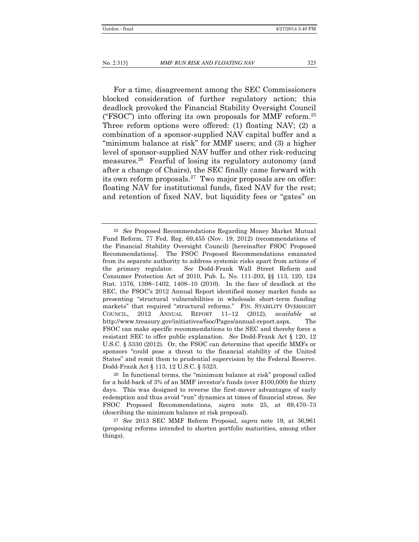For a time, disagreement among the SEC Commissioners blocked consideration of further regulatory action; this deadlock provoked the Financial Stability Oversight Council ("FSOC") into offering its own proposals for MMF reform.25 Three reform options were offered: (1) floating NAV; (2) a combination of a sponsor-supplied NAV capital buffer and a "minimum balance at risk" for MMF users; and (3) a higher level of sponsor-supplied NAV buffer and other risk-reducing measures.26 Fearful of losing its regulatory autonomy (and after a change of Chairs), the SEC finally came forward with its own reform proposals. $27$  Two major proposals are on offer: floating NAV for institutional funds, fixed NAV for the rest; and retention of fixed NAV, but liquidity fees or "gates" on

<sup>25</sup> *See* Proposed Recommendations Regarding Money Market Mutual Fund Reform, 77 Fed. Reg. 69,455 (Nov. 19, 2012) (recommendations of the Financial Stability Oversight Council) [hereinafter FSOC Proposed Recommendations]. The FSOC Proposed Recommendations emanated from its separate authority to address systemic risks apart from actions of the primary regulator. *See* Dodd-Frank Wall Street Reform and Consumer Protection Act of 2010, Pub. L. No. 111-203, §§ 113, 120, 124 Stat. 1376, 1398–1402, 1408–10 (2010). In the face of deadlock at the SEC, the FSOC's 2012 Annual Report identified money market funds as presenting "structural vulnerabilities in wholesale short-term funding markets" that required "structural reforms." FIN. STABILITY OVERSIGHT COUNCIL, 2012 ANNUAL REPORT 11–12 (2012), *available at* http://www.treasury.gov/initiatives/fsoc/Pages/annual-report.aspx. The FSOC can make specific recommendations to the SEC and thereby force a resistant SEC to offer public explanation. *See* Dodd-Frank Act § 120, 12 U.S.C. § 5330 (2012). Or, the FSOC can determine that specific MMFs or sponsors "could pose a threat to the financial stability of the United States" and remit them to prudential supervision by the Federal Reserve. Dodd-Frank Act § 113, 12 U.S.C. § 5323.

<sup>26</sup> In functional terms, the "minimum balance at risk" proposal called for a hold-back of 3% of an MMF investor's funds (over \$100,000) for thirty days. This was designed to reverse the first-mover advantages of early redemption and thus avoid "run" dynamics at times of financial stress. *See*  FSOC Proposed Recommendations, *supra* note 25, at 69,470–73 (describing the minimum balance at risk proposal).

<sup>27</sup> *See* 2013 SEC MMF Reform Proposal, *supra* note 19, at 36,961 (proposing reforms intended to shorten portfolio maturities, among other things).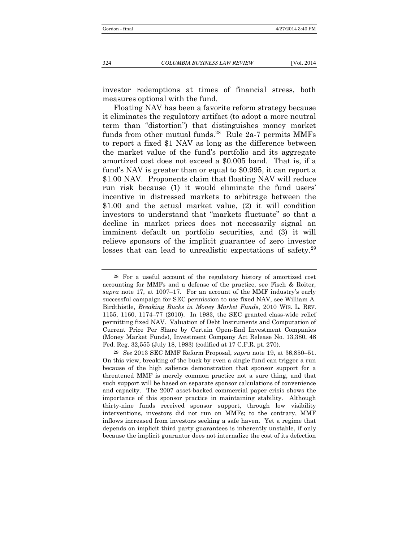investor redemptions at times of financial stress, both measures optional with the fund.

Floating NAV has been a favorite reform strategy because it eliminates the regulatory artifact (to adopt a more neutral term than "distortion") that distinguishes money market funds from other mutual funds. $^{28}$  Rule 2a-7 permits MMFs to report a fixed \$1 NAV as long as the difference between the market value of the fund's portfolio and its aggregate amortized cost does not exceed a \$0.005 band. That is, if a fund's NAV is greater than or equal to \$0.995, it can report a \$1.00 NAV. Proponents claim that floating NAV will reduce run risk because (1) it would eliminate the fund users' incentive in distressed markets to arbitrage between the \$1.00 and the actual market value, (2) it will condition investors to understand that "markets fluctuate" so that a decline in market prices does not necessarily signal an imminent default on portfolio securities, and (3) it will relieve sponsors of the implicit guarantee of zero investor losses that can lead to unrealistic expectations of safety.<sup>29</sup>

<sup>28</sup> For a useful account of the regulatory history of amortized cost accounting for MMFs and a defense of the practice, see Fisch & Roiter, *supra* note 17, at 1007–17. For an account of the MMF industry's early successful campaign for SEC permission to use fixed NAV, see William A. Birdthistle, *Breaking Bucks in Money Market Funds*, 2010 WIS. L. REV. 1155, 1160, 1174–77 (2010). In 1983, the SEC granted class-wide relief permitting fixed NAV. Valuation of Debt Instruments and Computation of Current Price Per Share by Certain Open-End Investment Companies (Money Market Funds), Investment Company Act Release No. 13,380, 48 Fed. Reg. 32,555 (July 18, 1983) (codified at 17 C.F.R. pt. 270).

<sup>29</sup> *See* 2013 SEC MMF Reform Proposal, *supra* note 19, at 36,850–51. On this view, breaking of the buck by even a single fund can trigger a run because of the high salience demonstration that sponsor support for a threatened MMF is merely common practice not a sure thing, and that such support will be based on separate sponsor calculations of convenience and capacity. The 2007 asset-backed commercial paper crisis shows the importance of this sponsor practice in maintaining stability. Although thirty-nine funds received sponsor support, through low visibility interventions, investors did not run on MMFs; to the contrary, MMF inflows increased from investors seeking a safe haven. Yet a regime that depends on implicit third party guarantees is inherently unstable, if only because the implicit guarantor does not internalize the cost of its defection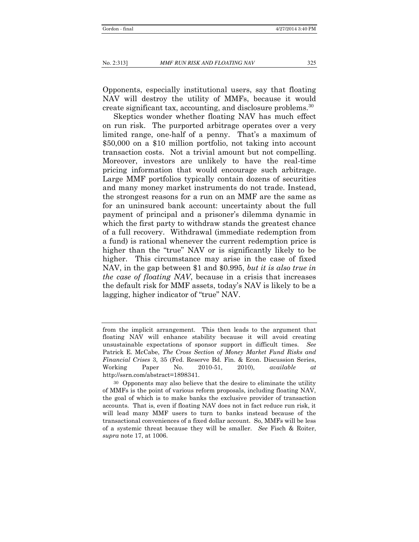Opponents, especially institutional users, say that floating NAV will destroy the utility of MMFs, because it would create significant tax, accounting, and disclosure problems.30

Skeptics wonder whether floating NAV has much effect on run risk. The purported arbitrage operates over a very limited range, one-half of a penny. That's a maximum of \$50,000 on a \$10 million portfolio, not taking into account transaction costs. Not a trivial amount but not compelling. Moreover, investors are unlikely to have the real-time pricing information that would encourage such arbitrage. Large MMF portfolios typically contain dozens of securities and many money market instruments do not trade. Instead, the strongest reasons for a run on an MMF are the same as for an uninsured bank account: uncertainty about the full payment of principal and a prisoner's dilemma dynamic in which the first party to withdraw stands the greatest chance of a full recovery. Withdrawal (immediate redemption from a fund) is rational whenever the current redemption price is higher than the "true" NAV or is significantly likely to be higher. This circumstance may arise in the case of fixed NAV, in the gap between \$1 and \$0.995, *but it is also true in the case of floating NAV*, because in a crisis that increases the default risk for MMF assets, today's NAV is likely to be a lagging, higher indicator of "true" NAV.

from the implicit arrangement. This then leads to the argument that floating NAV will enhance stability because it will avoid creating unsustainable expectations of sponsor support in difficult times. *See*  Patrick E. McCabe, *The Cross Section of Money Market Fund Risks and Financial Crises* 3, 35 (Fed. Reserve Bd. Fin. & Econ. Discussion Series, Working Paper No. 2010-51, 2010), *available at*  http://ssrn.com/abstract=1898341.

<sup>30</sup> Opponents may also believe that the desire to eliminate the utility of MMFs is the point of various reform proposals, including floating NAV, the goal of which is to make banks the exclusive provider of transaction accounts. That is, even if floating NAV does not in fact reduce run risk, it will lead many MMF users to turn to banks instead because of the transactional conveniences of a fixed dollar account. So, MMFs will be less of a systemic threat because they will be smaller. *See* Fisch & Roiter, *supra* note 17, at 1006.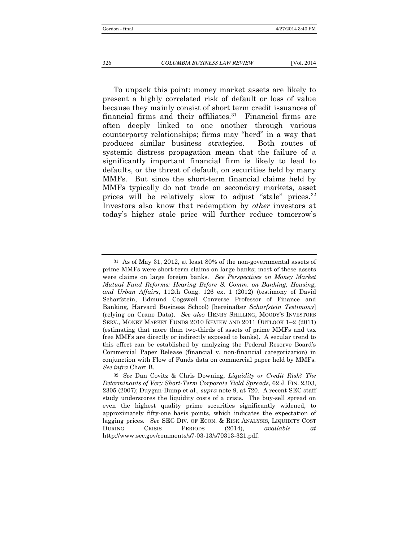To unpack this point: money market assets are likely to present a highly correlated risk of default or loss of value because they mainly consist of short term credit issuances of financial firms and their affiliates.<sup>31</sup> Financial firms are often deeply linked to one another through various counterparty relationships; firms may "herd" in a way that produces similar business strategies. Both routes of systemic distress propagation mean that the failure of a significantly important financial firm is likely to lead to defaults, or the threat of default, on securities held by many MMFs. But since the short-term financial claims held by MMFs typically do not trade on secondary markets, asset prices will be relatively slow to adjust "stale" prices.32 Investors also know that redemption by *other* investors at today's higher stale price will further reduce tomorrow's

<sup>31</sup> As of May 31, 2012, at least 80% of the non-governmental assets of prime MMFs were short-term claims on large banks; most of these assets were claims on large foreign banks. *See Perspectives on Money Market Mutual Fund Reforms: Hearing Before S. Comm. on Banking, Housing, and Urban Affairs*, 112th Cong. 126 ex. 1 (2012) (testimony of David Scharfstein, Edmund Cogswell Converse Professor of Finance and Banking, Harvard Business School) [hereinafter *Scharfstein Testimony*] (relying on Crane Data). *See also* HENRY SHILLING, MOODY'S INVESTORS SERV., MONEY MARKET FUNDS 2010 REVIEW AND 2011 OUTLOOK 1–2 (2011) (estimating that more than two-thirds of assets of prime MMFs and tax free MMFs are directly or indirectly exposed to banks). A secular trend to this effect can be established by analyzing the Federal Reserve Board's Commercial Paper Release (financial v. non-financial categorization) in conjunction with Flow of Funds data on commercial paper held by MMFs. *See infra* Chart B.

<sup>32</sup> *See* Dan Covitz & Chris Downing, *Liquidity or Credit Risk? The Determinants of Very Short-Term Corporate Yield Spreads*, 62 J. FIN. 2303, 2305 (2007); Duygan-Bump et al., *supra* note 9, at 720. A recent SEC staff study underscores the liquidity costs of a crisis. The buy-sell spread on even the highest quality prime securities significantly widened, to approximately fifty-one basis points, which indicates the expectation of lagging prices. *See* SEC DIV. OF ECON. & RISK ANALYSIS, LIQUIDITY COST DURING CRISIS PERIODS (2014), *available at* http://www.sec.gov/comments/s7-03-13/s70313-321.pdf.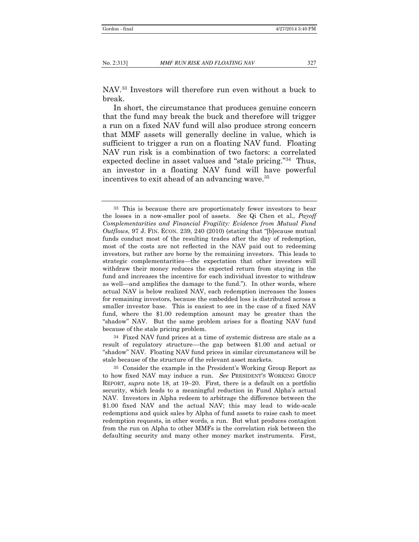NAV.33 Investors will therefore run even without a buck to break.

In short, the circumstance that produces genuine concern that the fund may break the buck and therefore will trigger a run on a fixed NAV fund will also produce strong concern that MMF assets will generally decline in value, which is sufficient to trigger a run on a floating NAV fund. Floating NAV run risk is a combination of two factors: a correlated expected decline in asset values and "stale pricing."34 Thus, an investor in a floating NAV fund will have powerful incentives to exit ahead of an advancing wave.<sup>35</sup>

34 Fixed NAV fund prices at a time of systemic distress are stale as a result of regulatory structure––the gap between \$1.00 and actual or "shadow" NAV. Floating NAV fund prices in similar circumstances will be stale because of the structure of the relevant asset markets.

<sup>33</sup> This is because there are proportionately fewer investors to bear the losses in a now-smaller pool of assets. *See* Qi Chen et al., *Payoff Complementarities and Financial Fragility: Evidence from Mutual Fund Outflows*, 97 J. FIN. ECON. 239, 240 (2010) (stating that "[b]ecause mutual funds conduct most of the resulting trades after the day of redemption, most of the costs are not reflected in the NAV paid out to redeeming investors, but rather are borne by the remaining investors. This leads to strategic complementarities—the expectation that other investors will withdraw their money reduces the expected return from staying in the fund and increases the incentive for each individual investor to withdraw as well—and amplies the damage to the fund."). In other words, where actual NAV is below realized NAV, each redemption increases the losses for remaining investors, because the embedded loss is distributed across a smaller investor base. This is easiest to see in the case of a fixed NAV fund, where the \$1.00 redemption amount may be greater than the "shadow" NAV. But the same problem arises for a floating NAV fund because of the stale pricing problem.

<sup>35</sup> Consider the example in the President's Working Group Report as to how fixed NAV may induce a run. *See* PRESIDENT'S WORKING GROUP REPORT, *supra* note 18, at 19–20. First, there is a default on a portfolio security, which leads to a meaningful reduction in Fund Alpha's actual NAV. Investors in Alpha redeem to arbitrage the difference between the \$1.00 fixed NAV and the actual NAV; this may lead to wide-scale redemptions and quick sales by Alpha of fund assets to raise cash to meet redemption requests, in other words, a run. But what produces contagion from the run on Alpha to other MMFs is the correlation risk between the defaulting security and many other money market instruments. First,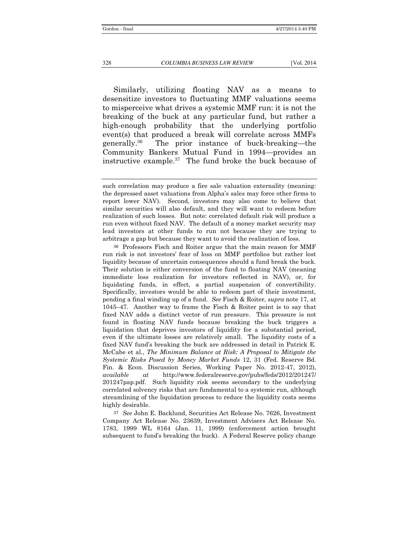Similarly, utilizing floating NAV as a means to desensitize investors to fluctuating MMF valuations seems to misperceive what drives a systemic MMF run: it is not the breaking of the buck at any particular fund, but rather a high-enough probability that the underlying portfolio event(s) that produced a break will correlate across MMFs generally.36 The prior instance of buck-breaking—the Community Bankers Mutual Fund in 1994—provides an instructive example.<sup>37</sup> The fund broke the buck because of

36 Professors Fisch and Roiter argue that the main reason for MMF run risk is not investors' fear of loss on MMF portfolios but rather lost liquidity because of uncertain consequences should a fund break the buck. Their solution is either conversion of the fund to floating NAV (meaning immediate loss realization for investors reflected in NAV), or, for liquidating funds, in effect, a partial suspension of convertibility. Specifically, investors would be able to redeem part of their investment, pending a final winding up of a fund. *See* Fisch & Roiter, *supra* note 17, at 1045–47. Another way to frame the Fisch & Roiter point is to say that fixed NAV adds a distinct vector of run pressure. This pressure is not found in floating NAV funds because breaking the buck triggers a liquidation that deprives investors of liquidity for a substantial period, even if the ultimate losses are relatively small. The liquidity costs of a fixed NAV fund's breaking the buck are addressed in detail in Patrick E. McCabe et al., *The Minimum Balance at Risk: A Proposal to Mitigate the Systemic Risks Posed by Money Market Funds* 12, 31 (Fed. Reserve Bd. Fin. & Econ. Discussion Series, Working Paper No. 2012-47, 2012), *available at* http://www.federalreserve.gov/pubs/feds/2012/201247/ 201247pap.pdf. Such liquidity risk seems secondary to the underlying correlated solvency risks that are fundamental to a systemic run, although streamlining of the liquidation process to reduce the liquidity costs seems highly desirable.

37 *See* John E. Backlund, Securities Act Release No. 7626, Investment Company Act Release No. 23639, Investment Advisers Act Release No. 1783, 1999 WL 8164 (Jan. 11, 1999) (enforcement action brought subsequent to fund's breaking the buck). A Federal Reserve policy change

such correlation may produce a fire sale valuation externality (meaning: the depressed asset valuations from Alpha's sales may force other firms to report lower NAV). Second, investors may also come to believe that similar securities will also default, and they will want to redeem before realization of such losses. But note: correlated default risk will produce a run even without fixed NAV. The default of a money market security may lead investors at other funds to run not because they are trying to arbitrage a gap but because they want to avoid the realization of loss.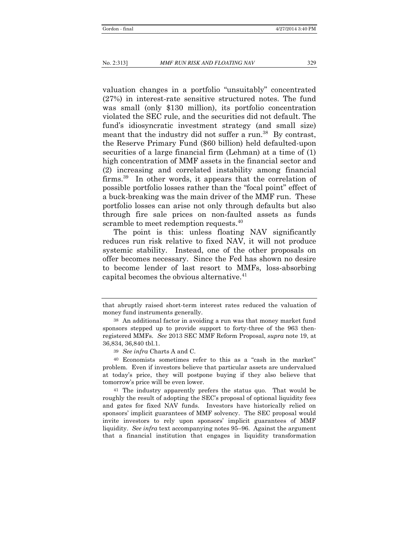valuation changes in a portfolio "unsuitably" concentrated (27%) in interest-rate sensitive structured notes. The fund was small (only \$130 million), its portfolio concentration violated the SEC rule, and the securities did not default. The fund's idiosyncratic investment strategy (and small size) meant that the industry did not suffer a run.<sup>38</sup> By contrast, the Reserve Primary Fund (\$60 billion) held defaulted-upon securities of a large financial firm (Lehman) at a time of (1) high concentration of MMF assets in the financial sector and (2) increasing and correlated instability among financial firms.<sup>39</sup> In other words, it appears that the correlation of possible portfolio losses rather than the "focal point" effect of a buck-breaking was the main driver of the MMF run. These portfolio losses can arise not only through defaults but also through fire sale prices on non-faulted assets as funds scramble to meet redemption requests.<sup>40</sup>

The point is this: unless floating NAV significantly reduces run risk relative to fixed NAV, it will not produce systemic stability. Instead, one of the other proposals on offer becomes necessary. Since the Fed has shown no desire to become lender of last resort to MMFs, loss-absorbing capital becomes the obvious alternative.<sup>41</sup>

that abruptly raised short-term interest rates reduced the valuation of money fund instruments generally.

<sup>38</sup> An additional factor in avoiding a run was that money market fund sponsors stepped up to provide support to forty-three of the 963 thenregistered MMFs. *See* 2013 SEC MMF Reform Proposal, *supra* note 19, at 36,834, 36,840 tbl.1.

<sup>39</sup> *See infra* Charts A and C.

<sup>40</sup> Economists sometimes refer to this as a "cash in the market" problem. Even if investors believe that particular assets are undervalued at today's price, they will postpone buying if they also believe that tomorrow's price will be even lower.

<sup>41</sup> The industry apparently prefers the status quo. That would be roughly the result of adopting the SEC's proposal of optional liquidity fees and gates for fixed NAV funds. Investors have historically relied on sponsors' implicit guarantees of MMF solvency. The SEC proposal would invite investors to rely upon sponsors' implicit guarantees of MMF liquidity. *See infra* text accompanying notes 95–96. Against the argument that a financial institution that engages in liquidity transformation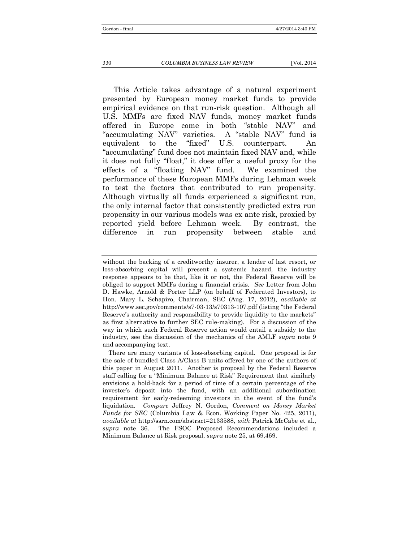This Article takes advantage of a natural experiment presented by European money market funds to provide empirical evidence on that run-risk question. Although all U.S. MMFs are fixed NAV funds, money market funds offered in Europe come in both "stable NAV" and "accumulating NAV" varieties. A "stable NAV" fund is equivalent to the "fixed" U.S. counterpart. An "accumulating" fund does not maintain fixed NAV and, while it does not fully "float," it does offer a useful proxy for the effects of a "floating NAV" fund. We examined the performance of these European MMFs during Lehman week to test the factors that contributed to run propensity. Although virtually all funds experienced a significant run, the only internal factor that consistently predicted extra run propensity in our various models was ex ante risk, proxied by reported yield before Lehman week. By contrast, the difference in run propensity between stable and

without the backing of a creditworthy insurer, a lender of last resort, or loss-absorbing capital will present a systemic hazard, the industry response appears to be that, like it or not, the Federal Reserve will be obliged to support MMFs during a financial crisis. *See* Letter from John D. Hawke, Arnold & Porter LLP (on behalf of Federated Investors), to Hon. Mary L. Schapiro, Chairman, SEC (Aug. 17, 2012), *available at* http://www.sec.gov/comments/s7-03-13/s70313-107.pdf (listing "the Federal Reserve's authority and responsibility to provide liquidity to the markets" as first alternative to further SEC rule-making). For a discussion of the way in which such Federal Reserve action would entail a subsidy to the industry, see the discussion of the mechanics of the AMLF *supra* note 9 and accompanying text.

There are many variants of loss-absorbing capital. One proposal is for the sale of bundled Class A/Class B units offered by one of the authors of this paper in August 2011. Another is proposal by the Federal Reserve staff calling for a "Minimum Balance at Risk" Requirement that similarly envisions a hold-back for a period of time of a certain percentage of the investor's deposit into the fund, with an additional subordination requirement for early-redeeming investors in the event of the fund's liquidation. *Compare* Jeffrey N. Gordon, *Comment on Money Market Funds for SEC* (Columbia Law & Econ. Working Paper No. 425, 2011), *available at* http://ssrn.com/abstract=2133588, *with* Patrick McCabe et al., *supra* note 36. The FSOC Proposed Recommendations included a Minimum Balance at Risk proposal, *supra* note 25, at 69,469.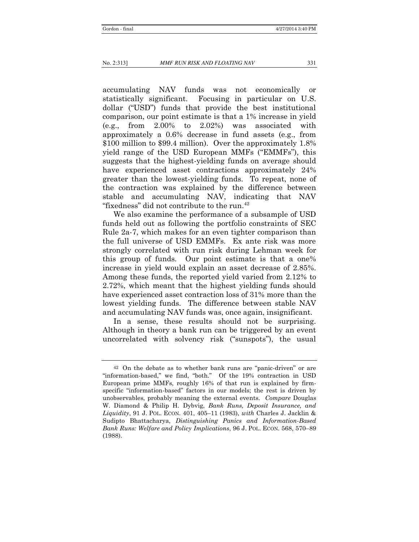accumulating NAV funds was not economically or statistically significant. Focusing in particular on U.S. dollar ("USD") funds that provide the best institutional comparison, our point estimate is that a 1% increase in yield (e.g., from 2.00% to 2.02%) was associated with approximately a 0.6% decrease in fund assets (e.g., from \$100 million to \$99.4 million). Over the approximately 1.8% yield range of the USD European MMFs ("EMMFs"), this suggests that the highest-yielding funds on average should have experienced asset contractions approximately 24% greater than the lowest-yielding funds. To repeat, none of the contraction was explained by the difference between stable and accumulating NAV, indicating that NAV "fixedness" did not contribute to the run.<sup>42</sup>

We also examine the performance of a subsample of USD funds held out as following the portfolio constraints of SEC Rule 2a-7, which makes for an even tighter comparison than the full universe of USD EMMFs. Ex ante risk was more strongly correlated with run risk during Lehman week for this group of funds. Our point estimate is that a one% increase in yield would explain an asset decrease of 2.85%. Among these funds, the reported yield varied from 2.12% to 2.72%, which meant that the highest yielding funds should have experienced asset contraction loss of 31% more than the lowest yielding funds. The difference between stable NAV and accumulating NAV funds was, once again, insignificant.

In a sense, these results should not be surprising. Although in theory a bank run can be triggered by an event uncorrelated with solvency risk ("sunspots"), the usual

<sup>42</sup> On the debate as to whether bank runs are "panic-driven" or are "information-based," we find, "both." Of the 19% contraction in USD European prime MMFs, roughly 16% of that run is explained by firmspecific "information-based" factors in our models; the rest is driven by unobservables, probably meaning the external events. *Compare* Douglas W. Diamond & Philip H. Dybvig, *Bank Runs, Deposit Insurance, and Liquidity*, 91 J. POL. ECON. 401, 405–11 (1983), *with* Charles J. Jacklin & Sudipto Bhattacharya, *Distinguishing Panics and Information-Based Bank Runs: Welfare and Policy Implications*, 96 J. POL. ECON. 568, 570–89 (1988).